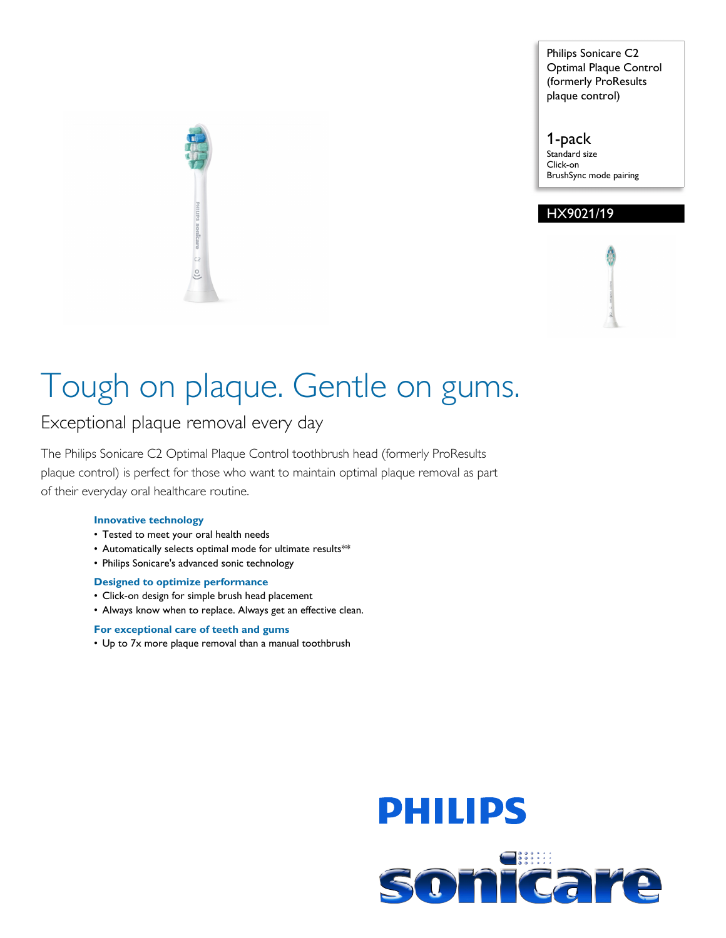Philips Sonicare C2 Optimal Plaque Control (formerly ProResults plaque control)

1-pack Standard size Click-on BrushSync mode pairing

### HX9021/19



Exceptional plaque removal every day

The Philips Sonicare C2 Optimal Plaque Control toothbrush head (formerly ProResults plaque control) is perfect for those who want to maintain optimal plaque removal as part of their everyday oral healthcare routine.

#### **Innovative technology**

- Tested to meet your oral health needs
- Automatically selects optimal mode for ultimate results\*\*
- Philips Sonicare's advanced sonic technology

#### **Designed to optimize performance**

- Click-on design for simple brush head placement
- Always know when to replace. Always get an effective clean.

#### **For exceptional care of teeth and gums**

• Up to 7x more plaque removal than a manual toothbrush